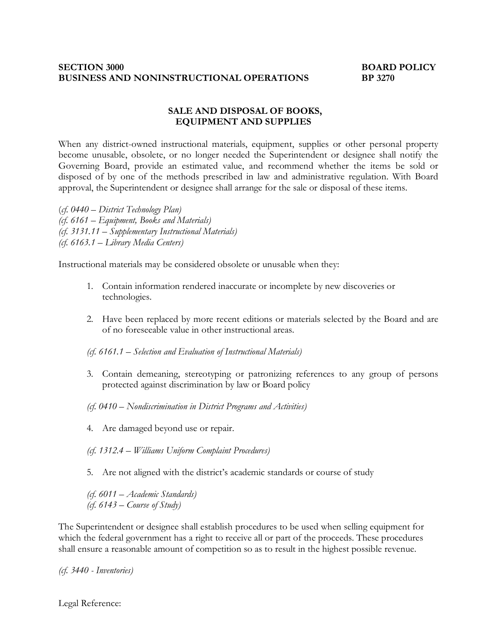#### **SECTION 3000 BOARD POLICY BUSINESS AND NONINSTRUCTIONAL OPERATIONS BP 3270**

#### **SALE AND DISPOSAL OF BOOKS, EQUIPMENT AND SUPPLIES**

When any district-owned instructional materials, equipment, supplies or other personal property become unusable, obsolete, or no longer needed the Superintendent or designee shall notify the Governing Board, provide an estimated value, and recommend whether the items be sold or disposed of by one of the methods prescribed in law and administrative regulation. With Board approval, the Superintendent or designee shall arrange for the sale or disposal of these items.

(*cf. 0440 – District Technology Plan) (cf. 6161 – Equipment, Books and Materials) (cf. 3131.11 – Supplementary Instructional Materials) (cf. 6163.1 – Library Media Centers)*

Instructional materials may be considered obsolete or unusable when they:

- 1. Contain information rendered inaccurate or incomplete by new discoveries or technologies.
- 2. Have been replaced by more recent editions or materials selected by the Board and are of no foreseeable value in other instructional areas.
- *(cf. 6161.1 Selection and Evaluation of Instructional Materials)*
- 3. Contain demeaning, stereotyping or patronizing references to any group of persons protected against discrimination by law or Board policy
- *(cf. 0410 Nondiscrimination in District Programs and Activities)*
- 4. Are damaged beyond use or repair.
- *(cf. 1312.4 Williams Uniform Complaint Procedures)*
- 5. Are not aligned with the district's academic standards or course of study

*(cf. 6011 – Academic Standards) (cf. 6143 – Course of Study)*

The Superintendent or designee shall establish procedures to be used when selling equipment for which the federal government has a right to receive all or part of the proceeds. These procedures shall ensure a reasonable amount of competition so as to result in the highest possible revenue.

*(cf. 3440 - Inventories)*